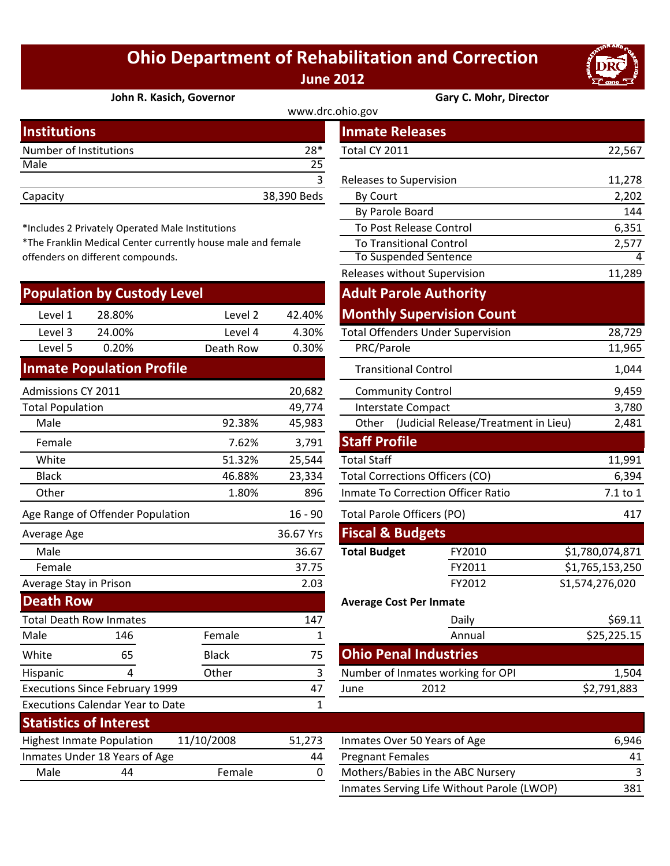## **Ohio Department of Rehabilitation and Correction June 2012**

**John R. Kasich, Governor Gary C. Mohr, Director**

| www.drc.ohio.gov       |             |                         |        |  |
|------------------------|-------------|-------------------------|--------|--|
| <b>Institutions</b>    |             | <b>Inmate Releases</b>  |        |  |
| Number of Institutions | $28*$       | Total CY 2011           | 22,567 |  |
| Male                   | 25          |                         |        |  |
|                        |             | Releases to Supervision | 11,278 |  |
| Capacity               | 38,390 Beds | By Court                | 2,202  |  |
|                        |             | .                       | .      |  |

\*Includes 2 Privately Operated Male Institutions

\*The Franklin Medical Center currently house male and female offenders on different compounds.

|                                             | <b>Population by Custody Level</b>      |              |              | <b>Adult Parole Authority</b>                 |                                          |                 |
|---------------------------------------------|-----------------------------------------|--------------|--------------|-----------------------------------------------|------------------------------------------|-----------------|
| Level 1                                     | 28.80%                                  | Level 2      | 42.40%       |                                               | <b>Monthly Supervision Count</b>         |                 |
| Level 3                                     | 24.00%                                  | Level 4      | 4.30%        |                                               | <b>Total Offenders Under Supervision</b> | 28,729          |
| Level 5                                     | 0.20%                                   | Death Row    | 0.30%        | PRC/Parole                                    |                                          | 11,965          |
|                                             | <b>Inmate Population Profile</b>        |              |              | <b>Transitional Control</b>                   |                                          | 1,044           |
| Admissions CY 2011                          |                                         |              | 20,682       | <b>Community Control</b>                      |                                          | 9,459           |
| <b>Total Population</b>                     |                                         |              | 49,774       | <b>Interstate Compact</b>                     |                                          | 3,780           |
| Male                                        |                                         | 92.38%       | 45,983       | (Judicial Release/Treatment in Lieu)<br>Other |                                          | 2,481           |
| Female                                      |                                         | 7.62%        | 3,791        | <b>Staff Profile</b>                          |                                          |                 |
| White                                       |                                         | 51.32%       | 25,544       | <b>Total Staff</b>                            |                                          | 11,991          |
| <b>Black</b>                                |                                         | 46.88%       | 23,334       | <b>Total Corrections Officers (CO)</b>        |                                          | 6,394           |
| Other                                       |                                         | 1.80%        | 896          | Inmate To Correction Officer Ratio            |                                          | 7.1 to 1        |
|                                             | Age Range of Offender Population        |              | $16 - 90$    | <b>Total Parole Officers (PO)</b>             |                                          | 417             |
| Average Age                                 |                                         |              | 36.67 Yrs    | <b>Fiscal &amp; Budgets</b>                   |                                          |                 |
| Male                                        |                                         |              | 36.67        | <b>Total Budget</b>                           | FY2010                                   | \$1,780,074,871 |
| Female                                      |                                         |              | 37.75        |                                               | FY2011                                   | \$1,765,153,250 |
| Average Stay in Prison                      |                                         |              | 2.03         |                                               | FY2012                                   | S1,574,276,020  |
| <b>Death Row</b>                            |                                         |              |              | <b>Average Cost Per Inmate</b>                |                                          |                 |
|                                             | <b>Total Death Row Inmates</b>          |              | 147          |                                               | Daily                                    | \$69.11         |
| Male                                        | 146                                     | Female       | 1            |                                               | Annual                                   | \$25,225.15     |
| White                                       | 65                                      | <b>Black</b> | 75           | <b>Ohio Penal Industries</b>                  |                                          |                 |
| Hispanic                                    | 4                                       | Other        | 3            |                                               | Number of Inmates working for OPI        | 1,504           |
| <b>Executions Since February 1999</b><br>47 |                                         | June         | 2012         | \$2,791,883                                   |                                          |                 |
|                                             | <b>Executions Calendar Year to Date</b> |              | $\mathbf{1}$ |                                               |                                          |                 |
|                                             | <b>Statistics of Interest</b>           |              |              |                                               |                                          |                 |
|                                             | <b>Highest Inmate Population</b>        | 11/10/2008   | 51,273       | Inmates Over 50 Years of Age                  |                                          | 6,946           |
|                                             | Inmates Under 18 Years of Age           |              | 44           | <b>Pregnant Females</b>                       |                                          | 41              |
| Male                                        | 44                                      | Female       | 0            |                                               | Mothers/Babies in the ABC Nursery        | 3               |

| stitutions                                                |              |             | <b>Inmate Releases</b>                        |                                  |                 |
|-----------------------------------------------------------|--------------|-------------|-----------------------------------------------|----------------------------------|-----------------|
| mber of Institutions                                      |              | 28*         | Total CY 2011                                 |                                  | 22,567          |
| le                                                        |              | 25          |                                               |                                  |                 |
|                                                           |              | 3           | Releases to Supervision                       |                                  | 11,278          |
| acity                                                     |              | 38,390 Beds | By Court                                      |                                  | 2,202           |
|                                                           |              |             | By Parole Board                               |                                  | 144             |
| cludes 2 Privately Operated Male Institutions             |              |             | To Post Release Control                       |                                  | 6,351           |
| e Franklin Medical Center currently house male and female |              |             | <b>To Transitional Control</b>                |                                  | 2,577           |
| nders on different compounds.                             |              |             | <b>To Suspended Sentence</b>                  |                                  | 4               |
|                                                           |              |             | Releases without Supervision                  |                                  | 11,289          |
| pulation by Custody Level                                 |              |             | <b>Adult Parole Authority</b>                 |                                  |                 |
| Level 1<br>28.80%                                         | Level 2      | 42.40%      |                                               | <b>Monthly Supervision Count</b> |                 |
| Level 3<br>24.00%                                         | Level 4      | 4.30%       | <b>Total Offenders Under Supervision</b>      |                                  | 28,729          |
| Level 5<br>0.20%                                          | Death Row    | 0.30%       | PRC/Parole                                    |                                  | 11,965          |
| nate Population Profile                                   |              |             | <b>Transitional Control</b>                   |                                  | 1,044           |
| nissions CY 2011                                          |              | 20,682      | <b>Community Control</b>                      |                                  | 9,459           |
| al Population                                             |              | 49,774      | <b>Interstate Compact</b>                     |                                  | 3,780           |
| Male                                                      | 92.38%       | 45,983      | (Judicial Release/Treatment in Lieu)<br>Other |                                  | 2,481           |
| Female                                                    | 7.62%        | 3,791       | <b>Staff Profile</b>                          |                                  |                 |
| <b>Nhite</b>                                              | 51.32%       | 25,544      | <b>Total Staff</b>                            |                                  | 11,991          |
| <b>Black</b>                                              | 46.88%       | 23,334      | <b>Total Corrections Officers (CO)</b>        |                                  | 6,394           |
| <b>Other</b>                                              | 1.80%        | 896         | <b>Inmate To Correction Officer Ratio</b>     |                                  | 7.1 to 1        |
| Range of Offender Population                              |              | $16 - 90$   | Total Parole Officers (PO)                    |                                  | 417             |
| rage Age                                                  |              | 36.67 Yrs   | <b>Fiscal &amp; Budgets</b>                   |                                  |                 |
| Vlale                                                     |              | 36.67       | <b>Total Budget</b>                           | FY2010                           | \$1,780,074,871 |
| Female                                                    |              | 37.75       |                                               | FY2011                           | \$1,765,153,250 |
| rage Stay in Prison                                       |              | 2.03        |                                               | FY2012                           | S1,574,276,020  |
| ath Row                                                   |              |             | <b>Average Cost Per Inmate</b>                |                                  |                 |
| al Death Row Inmates                                      |              | 147         |                                               | Daily                            | \$69.11         |
| le<br>146                                                 | Female       | $\mathbf 1$ |                                               | Annual                           | \$25,225.15     |
| ite<br>65                                                 | <b>Black</b> | 75          | <b>Ohio Penal Industries</b>                  |                                  |                 |
| panic<br>4                                                | Other        | 3           | Number of Inmates working for OPI             |                                  | 1,504           |
| cutions Since February 1999                               |              | 47          | June                                          | 2012                             | \$2,791,883     |
|                                                           |              |             |                                               |                                  |                 |

| 51,273 | Inmates Over 50 Years of Age               | 6.946 |
|--------|--------------------------------------------|-------|
| 44     | <b>Pregnant Females</b>                    |       |
| 0      | Mothers/Babies in the ABC Nursery          |       |
|        | Inmates Serving Life Without Parole (LWOP) | 381   |

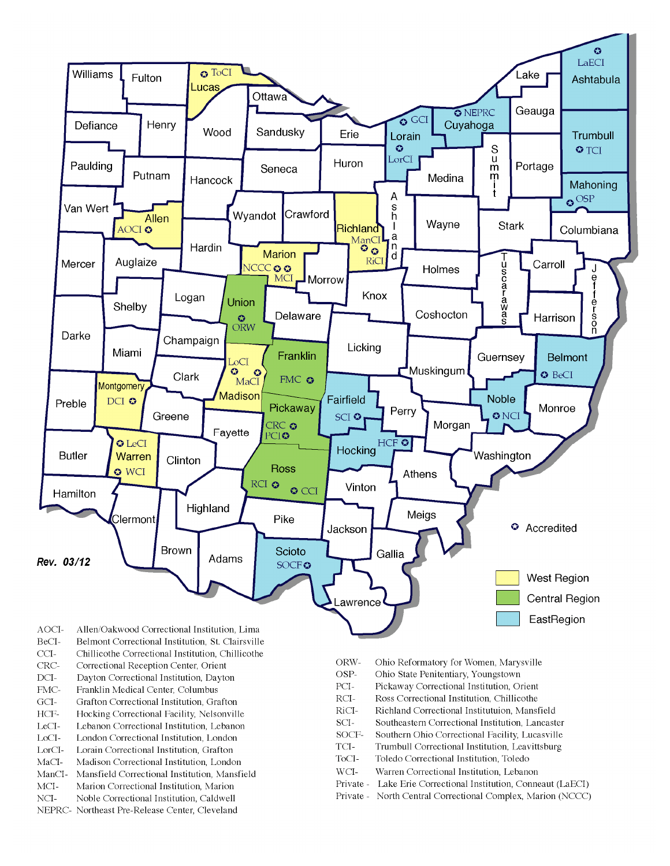

- BeCI-Belmont Correctional Institution, St. Clairsville
- $CCI-$ Chillicothe Correctional Institution, Chillicothe
- Correctional Reception Center, Orient CRC-
- $DCI-$ Dayton Correctional Institution, Dayton
- FMC-Franklin Medical Center, Columbus
- $\rm{GCI}\mbox{-}$ Grafton Correctional Institution, Grafton
- HCF-Hocking Correctional Facility, Nelsonville
- LeCI-Lebanon Correctional Institution, Lebanon
- LoCI-London Correctional Institution. London
- $\operatorname{LorCl-}$ Lorain Correctional Institution, Grafton
- $MaCI-$ Madison Correctional Institution, London
- ManCI-Mansfield Correctional Institution, Mansfield MCI-Marion Correctional Institution, Marion
- Noble Correctional Institution, Caldwell
- NCI-NEPRC- Northeast Pre-Release Center, Cleveland
- ORW-Ohio Reformatory for Women, Marysville
- OSP-Ohio State Penitentiary, Youngstown
- PCI-Pickaway Correctional Institution, Orient
- $\rm RCI-$ Ross Correctional Institution, Chillicothe
- RiCI-Richland Correctional Institutuion, Mansfield
- SCI-Southeastern Correctional Institution, Lancaster
- SOCF-Southern Ohio Correctional Facility, Lucasville
- TCI-Trumbull Correctional Institution, Leavittsburg
- ToCI-Toledo Correctional Institution, Toledo
- $WCI-$ Warren Correctional Institution, Lebanon
- Private Lake Erie Correctional Institution, Conneaut (LaECI)
- Private North Central Correctional Complex, Marion (NCCC)